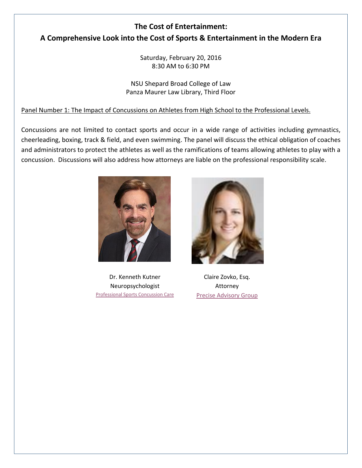# **The Cost of Entertainment: A Comprehensive Look into the Cost of Sports & Entertainment in the Modern Era**

Saturday, February 20, 2016 8:30 AM to 6:30 PM

NSU Shepard Broad College of Law Panza Maurer Law Library, Third Floor

# Panel Number 1: The Impact of Concussions on Athletes from High School to the Professional Levels.

Concussions are not limited to contact sports and occur in a wide range of activities including gymnastics, cheerleading, boxing, track & field, and even swimming. The panel will discuss the ethical obligation of coaches and administrators to protect the athletes as well as the ramifications of teams allowing athletes to play with a concussion. Discussions will also address how attorneys are liable on the professional responsibility scale.



Dr. Kenneth Kutner Neuropsychologist [Professional Sports Concussion Care](http://www.proconcussioncare.com/#!blank/c10wm)



Claire Zovko, Esq. Attorney [Precise Advisory Group](http://preciseadvisory.com/who-we-are/our-team/claire-zovko/)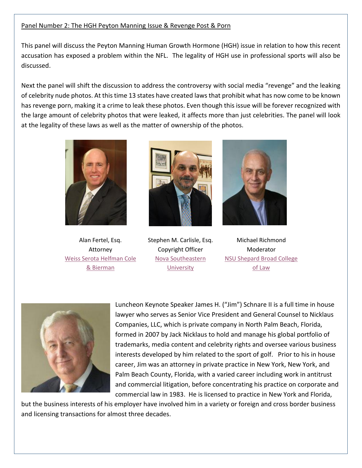## Panel Number 2: The HGH Peyton Manning Issue & Revenge Post & Porn

This panel will discuss the Peyton Manning Human Growth Hormone (HGH) issue in relation to how this recent accusation has exposed a problem within the NFL. The legality of HGH use in professional sports will also be discussed.

Next the panel will shift the discussion to address the controversy with social media "revenge" and the leaking of celebrity nude photos. At this time 13 states have created laws that prohibit what has now come to be known has revenge porn, making it a crime to leak these photos. Even though this issue will be forever recognized with the large amount of celebrity photos that were leaked, it affects more than just celebrities. The panel will look at the legality of these laws as well as the matter of ownership of the photos.



Alan Fertel, Esq. Attorney [Weiss Serota Helfman Cole](http://www.wsh-law.com/attorneys/alan-k-fertel/)  [& Bierman](http://www.wsh-law.com/attorneys/alan-k-fertel/)



Stephen M. Carlisle, Esq. Copyright Officer [Nova Southeastern](http://copyright.nova.edu/)  **[University](http://copyright.nova.edu/)** 



Michael Richmond Moderator [NSU Shepard Broad College](https://www.law.nova.edu/faculty/full-time-faculty/richmond-michael.html)  [of Law](https://www.law.nova.edu/faculty/full-time-faculty/richmond-michael.html)



Luncheon Keynote Speaker James H. ("Jim") Schnare II is a full time in house lawyer who serves as Senior Vice President and General Counsel to Nicklaus Companies, LLC, which is private company in North Palm Beach, Florida, formed in 2007 by Jack Nicklaus to hold and manage his global portfolio of trademarks, media content and celebrity rights and oversee various business interests developed by him related to the sport of golf. Prior to his in house career, Jim was an attorney in private practice in New York, New York, and Palm Beach County, Florida, with a varied career including work in antitrust and commercial litigation, before concentrating his practice on corporate and commercial law in 1983. He is licensed to practice in New York and Florida,

but the business interests of his employer have involved him in a variety or foreign and cross border business and licensing transactions for almost three decades.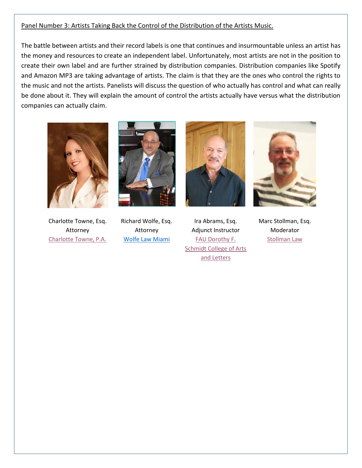### Panel Number 3: Artists Taking Back the Control of the Distribution of the Artists Music.

The battle between artists and their record labels is one that continues and insurmountable unless an artist has the money and resources to create an independent label. Unfortunately, most artists are not in the position to create their own label and are further strained by distribution companies. Distribution companies like Spotify and Amazon MP3 are taking advantage of artists. The claim is that they are the ones who control the rights to the music and not the artists. Panelists will discuss the question of who actually has control and what can really be done about it. They will explain the amount of control the artists actually have versus what the distribution companies can actually claim.



Charlotte Towne, Esq. Attorney [Charlotte Towne, P.A.](http://www.charlottetownelaw.com/)



Richard Wolfe, Esq. Attorney [Wolfe Law Miami](http://wolfelawmiami.com/attorneys-staff)



Ira Abrams, Esq. Adjunct Instructor [FAU Dorothy F.](http://www.fau.edu/music/hp_abrams_i.php)  [Schmidt College of Arts](http://www.fau.edu/music/hp_abrams_i.php)  [and Letters](http://www.fau.edu/music/hp_abrams_i.php)



Marc Stollman, Esq. Moderator [Stollman Law](http://www.stollmanlaw.com/)